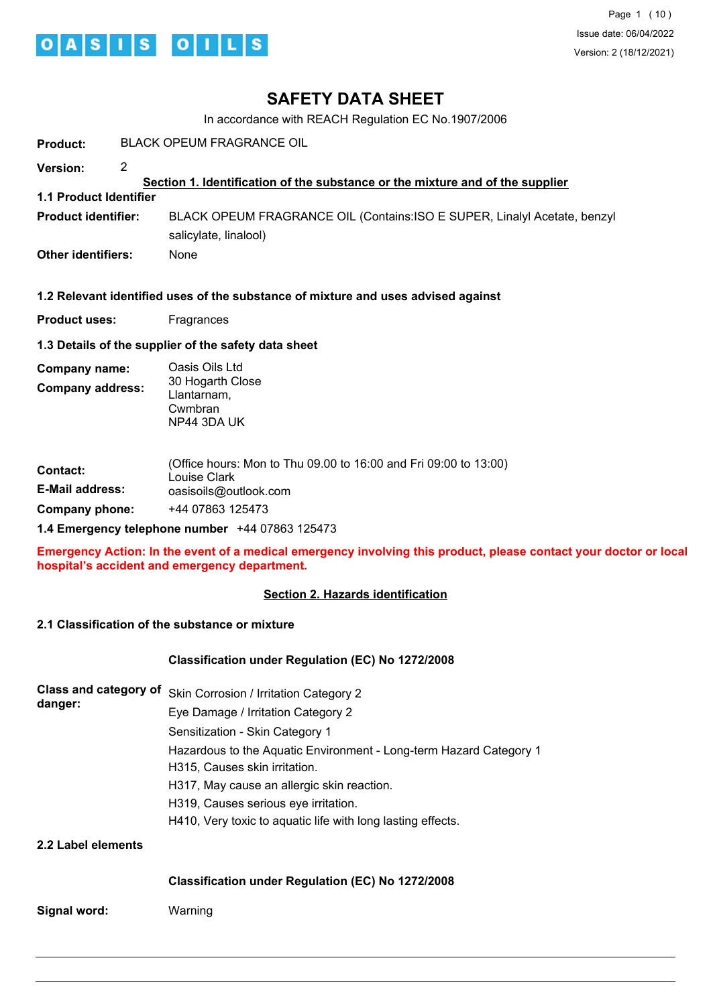

# **SAFETY DATA SHEET**

In accordance with REACH Regulation EC No.1907/2006

| <b>Product:</b>                          | <b>BLACK OPEUM FRAGRANCE OIL</b>                                                                                                                                                                                                                                                                                                                                                                  |  |  |  |
|------------------------------------------|---------------------------------------------------------------------------------------------------------------------------------------------------------------------------------------------------------------------------------------------------------------------------------------------------------------------------------------------------------------------------------------------------|--|--|--|
| 2<br>Version:                            | Section 1. Identification of the substance or the mixture and of the supplier                                                                                                                                                                                                                                                                                                                     |  |  |  |
| <b>1.1 Product Identifier</b>            |                                                                                                                                                                                                                                                                                                                                                                                                   |  |  |  |
| <b>Product identifier:</b>               | BLACK OPEUM FRAGRANCE OIL (Contains: ISO E SUPER, Linalyl Acetate, benzyl<br>salicylate, linalool)                                                                                                                                                                                                                                                                                                |  |  |  |
| <b>Other identifiers:</b>                | None                                                                                                                                                                                                                                                                                                                                                                                              |  |  |  |
|                                          | 1.2 Relevant identified uses of the substance of mixture and uses advised against                                                                                                                                                                                                                                                                                                                 |  |  |  |
| <b>Product uses:</b>                     | Fragrances                                                                                                                                                                                                                                                                                                                                                                                        |  |  |  |
|                                          | 1.3 Details of the supplier of the safety data sheet                                                                                                                                                                                                                                                                                                                                              |  |  |  |
| Company name:<br><b>Company address:</b> | Oasis Oils Ltd<br>30 Hogarth Close<br>Llantarnam,<br>Cwmbran<br>NP44 3DA UK                                                                                                                                                                                                                                                                                                                       |  |  |  |
| Contact:<br><b>E-Mail address:</b>       | (Office hours: Mon to Thu 09.00 to 16:00 and Fri 09:00 to 13:00)<br>Louise Clark<br>oasisoils@outlook.com                                                                                                                                                                                                                                                                                         |  |  |  |
| <b>Company phone:</b>                    | +44 07863 125473                                                                                                                                                                                                                                                                                                                                                                                  |  |  |  |
|                                          | 1.4 Emergency telephone number +44 07863 125473                                                                                                                                                                                                                                                                                                                                                   |  |  |  |
|                                          | Emergency Action: In the event of a medical emergency involving this product, please contact your doctor or local<br>hospital's accident and emergency department.                                                                                                                                                                                                                                |  |  |  |
|                                          | <b>Section 2. Hazards identification</b>                                                                                                                                                                                                                                                                                                                                                          |  |  |  |
|                                          | 2.1 Classification of the substance or mixture                                                                                                                                                                                                                                                                                                                                                    |  |  |  |
|                                          | Classification under Regulation (EC) No 1272/2008                                                                                                                                                                                                                                                                                                                                                 |  |  |  |
| danger:                                  | Class and category of Skin Corrosion / Irritation Category 2<br>Eye Damage / Irritation Category 2<br>Sensitization - Skin Category 1<br>Hazardous to the Aquatic Environment - Long-term Hazard Category 1<br>H315, Causes skin irritation.<br>H317, May cause an allergic skin reaction.<br>H319, Causes serious eye irritation.<br>H410, Very toxic to aquatic life with long lasting effects. |  |  |  |
| 2.2 Label elements                       |                                                                                                                                                                                                                                                                                                                                                                                                   |  |  |  |

**Classification under Regulation (EC) No 1272/2008**

**Signal word:** Warning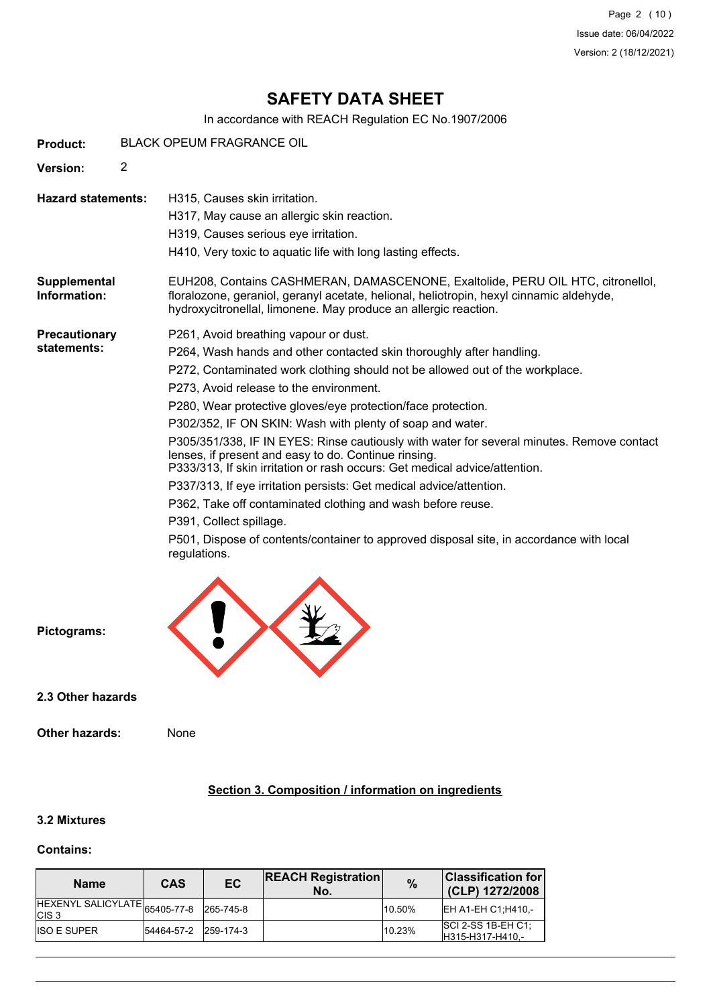Page 2 (10) Issue date: 06/04/2022 Version: 2 (18/12/2021)

# **SAFETY DATA SHEET**

In accordance with REACH Regulation EC No.1907/2006

| <b>Product:</b>                     | <b>BLACK OPEUM FRAGRANCE OIL</b> |                                                                                                                                                                                                                                                                                                                                                                                                                                                                                                                                                                                                                                                                                                                                                                                                                                                                                      |  |  |  |
|-------------------------------------|----------------------------------|--------------------------------------------------------------------------------------------------------------------------------------------------------------------------------------------------------------------------------------------------------------------------------------------------------------------------------------------------------------------------------------------------------------------------------------------------------------------------------------------------------------------------------------------------------------------------------------------------------------------------------------------------------------------------------------------------------------------------------------------------------------------------------------------------------------------------------------------------------------------------------------|--|--|--|
| <b>Version:</b>                     | $\overline{2}$                   |                                                                                                                                                                                                                                                                                                                                                                                                                                                                                                                                                                                                                                                                                                                                                                                                                                                                                      |  |  |  |
| <b>Hazard statements:</b>           |                                  | H315, Causes skin irritation.<br>H317, May cause an allergic skin reaction.<br>H319, Causes serious eye irritation.<br>H410, Very toxic to aquatic life with long lasting effects.                                                                                                                                                                                                                                                                                                                                                                                                                                                                                                                                                                                                                                                                                                   |  |  |  |
| Supplemental<br>Information:        |                                  | EUH208, Contains CASHMERAN, DAMASCENONE, Exaltolide, PERU OIL HTC, citronellol,<br>floralozone, geraniol, geranyl acetate, helional, heliotropin, hexyl cinnamic aldehyde,<br>hydroxycitronellal, limonene. May produce an allergic reaction.                                                                                                                                                                                                                                                                                                                                                                                                                                                                                                                                                                                                                                        |  |  |  |
| <b>Precautionary</b><br>statements: |                                  | P261, Avoid breathing vapour or dust.<br>P264, Wash hands and other contacted skin thoroughly after handling.<br>P272, Contaminated work clothing should not be allowed out of the workplace.<br>P273, Avoid release to the environment.<br>P280, Wear protective gloves/eye protection/face protection.<br>P302/352, IF ON SKIN: Wash with plenty of soap and water.<br>P305/351/338, IF IN EYES: Rinse cautiously with water for several minutes. Remove contact<br>lenses, if present and easy to do. Continue rinsing.<br>P333/313, If skin irritation or rash occurs: Get medical advice/attention.<br>P337/313, If eye irritation persists: Get medical advice/attention.<br>P362, Take off contaminated clothing and wash before reuse.<br>P391, Collect spillage.<br>P501, Dispose of contents/container to approved disposal site, in accordance with local<br>regulations. |  |  |  |



**2.3 Other hazards**

**Other hazards:** None

## **Section 3. Composition / information on ingredients**

# **3.2 Mixtures**

### **Contains:**

| <b>Name</b>                                         | CAS        | EC        | <b>REACH Registration</b><br>No. | $\%$   | $ {\sf Classification~for} $<br>(CLP) 1272/2008 |
|-----------------------------------------------------|------------|-----------|----------------------------------|--------|-------------------------------------------------|
| IHEXENYL SALICYLATE 65405-77-8<br>ICIS <sub>3</sub> |            | 265-745-8 |                                  | 10.50% | IEH A1-EH C1:H410 -                             |
| <b>IISO E SUPER</b>                                 | 54464-57-2 | 259-174-3 |                                  | 10.23% | $ SCI 2-SS 1B-EH C1 $<br>IH315-H317-H410.-      |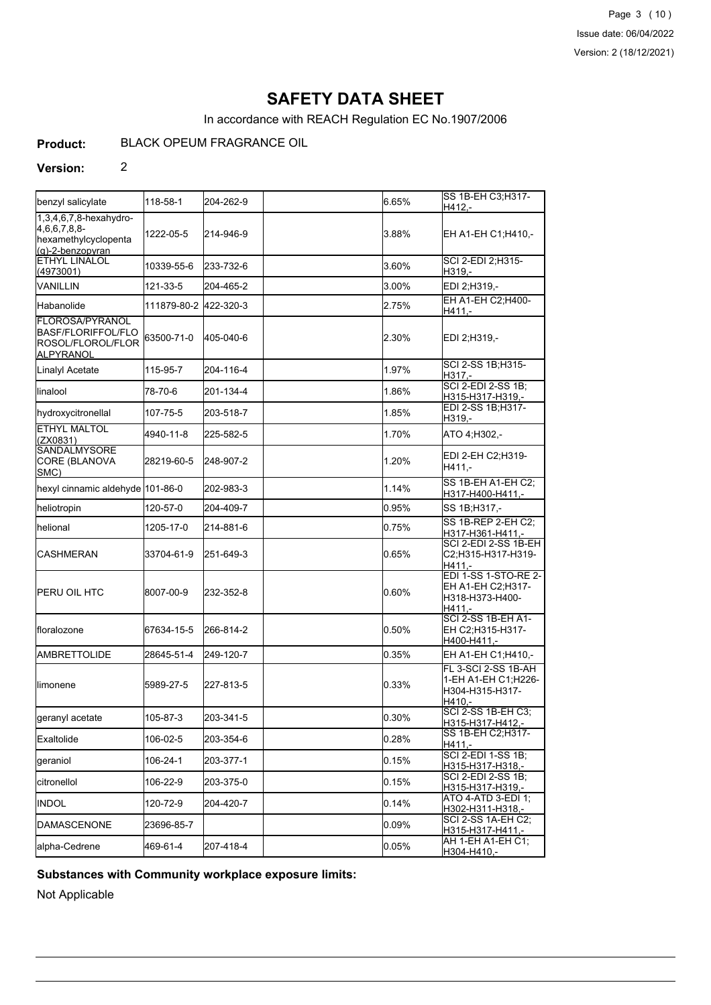Page 3 (10) Issue date: 06/04/2022 Version: 2 (18/12/2021)

# **SAFETY DATA SHEET**

In accordance with REACH Regulation EC No.1907/2006

#### **Product:** BLACK OPEUM FRAGRANCE OIL

### **Version:** 2

|                                                                                                  |             |           |       | SS 1B-EH C3;H317-                                                       |
|--------------------------------------------------------------------------------------------------|-------------|-----------|-------|-------------------------------------------------------------------------|
| benzyl salicylate                                                                                | 118-58-1    | 204-262-9 | 6.65% | H412,-                                                                  |
| 1,3,4,6,7,8-hexahydro-<br>4,6,6,7,8,8-<br>hexamethylcyclopenta<br>$(q)$ -2-benzopyran            | 1222-05-5   | 214-946-9 | 3.88% | EH A1-EH C1;H410,-                                                      |
| <b>ETHYL LINALOL</b><br>(4973001)                                                                | 10339-55-6  | 233-732-6 | 3.60% | SCI 2-EDI 2;H315-<br>H319,-                                             |
| VANILLIN                                                                                         | 121-33-5    | 204-465-2 | 3.00% | EDI 2;H319,-                                                            |
| <b>I</b> Habanolide                                                                              | 111879-80-2 | 422-320-3 | 2.75% | EH A1-EH C2; H400-<br>H411,-                                            |
| <b>FLOROSA/PYRANOL</b><br><b>I</b> BASF/FLORIFFOL/FLO<br><b>I</b> ROSOL/FLOROL/FLOR<br>ALPYRANOL | 63500-71-0  | 405-040-6 | 2.30% | EDI 2;H319,-                                                            |
| Linalyl Acetate                                                                                  | 115-95-7    | 204-116-4 | 1.97% | SCI 2-SS 1B;H315-<br>H317,-                                             |
| llinalool                                                                                        | 78-70-6     | 201-134-4 | 1.86% | <b>SCI 2-EDI 2-SS 1B;</b><br>H315-H317-H319,-                           |
| hydroxycitronellal                                                                               | 107-75-5    | 203-518-7 | 1.85% | EDI 2-SS 1B;H317-<br>H319,-                                             |
| <b>ETHYL MALTOL</b><br>(ZX0831)                                                                  | 4940-11-8   | 225-582-5 | 1.70% | ATO 4:H302,-                                                            |
| <b>SANDALMYSORE</b><br>CORE (BLANOVA<br>SMC)                                                     | 28219-60-5  | 248-907-2 | 1.20% | EDI 2-EH C2;H319-<br>H411,-                                             |
| hexyl cinnamic aldehyde 101-86-0                                                                 |             | 202-983-3 | 1.14% | SS 1B-EH A1-EH C2;<br>H317-H400-H411,-                                  |
| heliotropin                                                                                      | 120-57-0    | 204-409-7 | 0.95% | SS 1B; H317,-                                                           |
| Ihelional                                                                                        | 1205-17-0   | 214-881-6 | 0.75% | SS 1B-REP 2-EH C2;<br>H317-H361-H411,-                                  |
| <b>I</b> CASHMERAN                                                                               | 33704-61-9  | 251-649-3 | 0.65% | SCI 2-EDI 2-SS 1B-EH<br>C2;H315-H317-H319-<br>H411.-                    |
| IPERU OIL HTC                                                                                    | 8007-00-9   | 232-352-8 | 0.60% | EDI 1-SS 1-STO-RE 2-<br>EH A1-EH C2;H317-<br>H318-H373-H400-<br>H411.-  |
| Ifloralozone                                                                                     | 67634-15-5  | 266-814-2 | 0.50% | <b>SCI 2-SS 1B-EH A1-</b><br>EH C2;H315-H317-<br>H400-H411.-            |
| <b>IAMBRETTOLIDE</b>                                                                             | 28645-51-4  | 249-120-7 | 0.35% | EH A1-EH C1;H410,-                                                      |
| llimonene                                                                                        | 5989-27-5   | 227-813-5 | 0.33% | FL 3-SCI 2-SS 1B-AH<br>1-EH A1-EH C1;H226-<br>H304-H315-H317-<br>H410,- |
| geranyl acetate                                                                                  | 105-87-3    | 203-341-5 | 0.30% | SCI 2-SS 1B-EH C3,<br>H315-H317-H412,-                                  |
| Exaltolide                                                                                       | 106-02-5    | 203-354-6 | 0.28% | SS 1B-EH C2;H317-<br>H411.-                                             |
| geraniol                                                                                         | 106-24-1    | 203-377-1 | 0.15% | SCI 2-EDI 1-SS 1B;<br>H315-H317-H318,-                                  |
| <b>I</b> citronellol                                                                             | 106-22-9    | 203-375-0 | 0.15% | SCI 2-EDI 2-SS 1B;<br>H315-H317-H319,-                                  |
| <b>I</b> INDOL                                                                                   | 120-72-9    | 204-420-7 | 0.14% | ATO 4-ATD 3-EDI 1;<br>H302-H311-H318,-                                  |
| <b>IDAMASCENONE</b>                                                                              | 23696-85-7  |           | 0.09% | SCI 2-SS 1A-EH C2;<br>H315-H317-H411,-                                  |
| alpha-Cedrene                                                                                    | 469-61-4    | 207-418-4 | 0.05% | AH 1-EH A1-EH C1;<br>H304-H410,-                                        |

### **Substances with Community workplace exposure limits:**

Not Applicable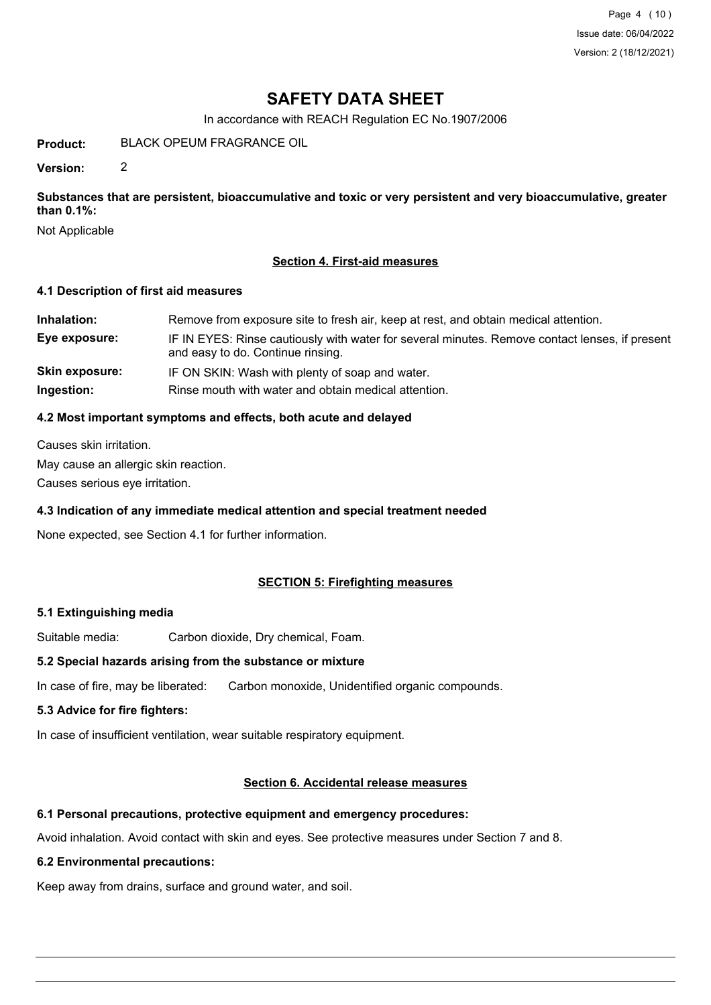Page 4 (10) Issue date: 06/04/2022 Version: 2 (18/12/2021)

# **SAFETY DATA SHEET**

In accordance with REACH Regulation EC No.1907/2006

**Product:** BLACK OPEUM FRAGRANCE OIL

**Version:** 2

**Substances that are persistent, bioaccumulative and toxic or very persistent and very bioaccumulative, greater than 0.1%:**

Not Applicable

### **Section 4. First-aid measures**

#### **4.1 Description of first aid measures**

| Inhalation:           | Remove from exposure site to fresh air, keep at rest, and obtain medical attention.                                                 |
|-----------------------|-------------------------------------------------------------------------------------------------------------------------------------|
| Eye exposure:         | IF IN EYES: Rinse cautiously with water for several minutes. Remove contact lenses, if present<br>and easy to do. Continue rinsing. |
| <b>Skin exposure:</b> | IF ON SKIN: Wash with plenty of soap and water.                                                                                     |
| Ingestion:            | Rinse mouth with water and obtain medical attention.                                                                                |

### **4.2 Most important symptoms and effects, both acute and delayed**

Causes skin irritation.

May cause an allergic skin reaction.

Causes serious eye irritation.

#### **4.3 Indication of any immediate medical attention and special treatment needed**

None expected, see Section 4.1 for further information.

## **SECTION 5: Firefighting measures**

#### **5.1 Extinguishing media**

Suitable media: Carbon dioxide, Dry chemical, Foam.

## **5.2 Special hazards arising from the substance or mixture**

In case of fire, may be liberated: Carbon monoxide, Unidentified organic compounds.

### **5.3 Advice for fire fighters:**

In case of insufficient ventilation, wear suitable respiratory equipment.

#### **Section 6. Accidental release measures**

#### **6.1 Personal precautions, protective equipment and emergency procedures:**

Avoid inhalation. Avoid contact with skin and eyes. See protective measures under Section 7 and 8.

#### **6.2 Environmental precautions:**

Keep away from drains, surface and ground water, and soil.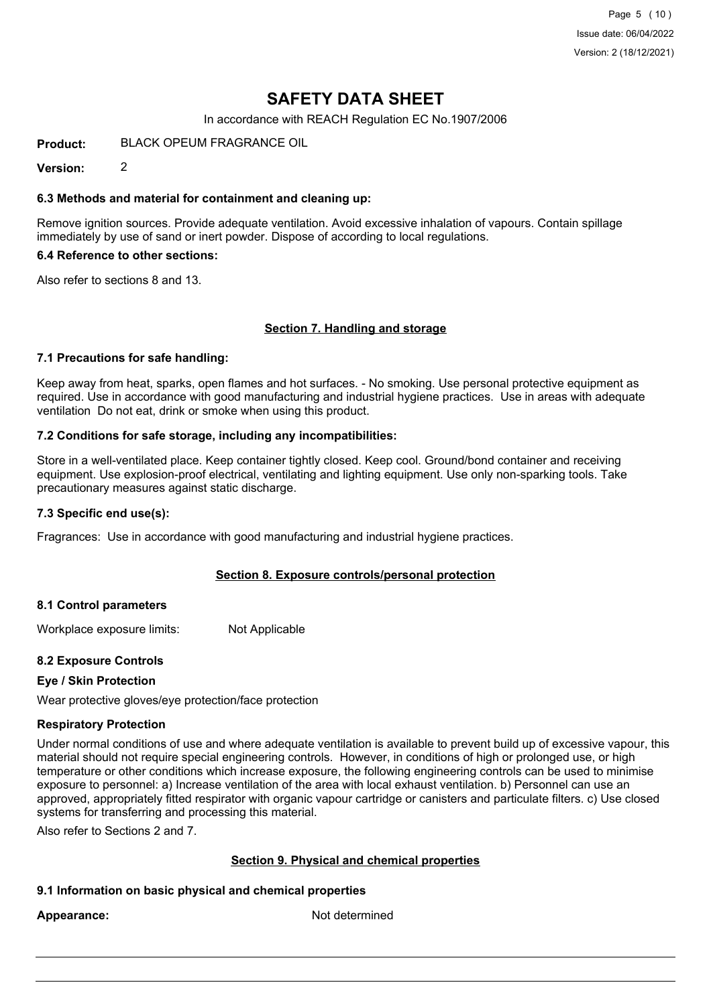Page 5 (10) Issue date: 06/04/2022 Version: 2 (18/12/2021)

# **SAFETY DATA SHEET**

In accordance with REACH Regulation EC No.1907/2006

**Product:** BLACK OPEUM FRAGRANCE OIL

**Version:** 2

#### **6.3 Methods and material for containment and cleaning up:**

Remove ignition sources. Provide adequate ventilation. Avoid excessive inhalation of vapours. Contain spillage immediately by use of sand or inert powder. Dispose of according to local regulations.

#### **6.4 Reference to other sections:**

Also refer to sections 8 and 13.

#### **Section 7. Handling and storage**

#### **7.1 Precautions for safe handling:**

Keep away from heat, sparks, open flames and hot surfaces. - No smoking. Use personal protective equipment as required. Use in accordance with good manufacturing and industrial hygiene practices. Use in areas with adequate ventilation Do not eat, drink or smoke when using this product.

#### **7.2 Conditions for safe storage, including any incompatibilities:**

Store in a well-ventilated place. Keep container tightly closed. Keep cool. Ground/bond container and receiving equipment. Use explosion-proof electrical, ventilating and lighting equipment. Use only non-sparking tools. Take precautionary measures against static discharge.

#### **7.3 Specific end use(s):**

Fragrances: Use in accordance with good manufacturing and industrial hygiene practices.

#### **Section 8. Exposure controls/personal protection**

#### **8.1 Control parameters**

Workplace exposure limits: Not Applicable

#### **8.2 Exposure Controls**

#### **Eye / Skin Protection**

Wear protective gloves/eye protection/face protection

#### **Respiratory Protection**

Under normal conditions of use and where adequate ventilation is available to prevent build up of excessive vapour, this material should not require special engineering controls. However, in conditions of high or prolonged use, or high temperature or other conditions which increase exposure, the following engineering controls can be used to minimise exposure to personnel: a) Increase ventilation of the area with local exhaust ventilation. b) Personnel can use an approved, appropriately fitted respirator with organic vapour cartridge or canisters and particulate filters. c) Use closed systems for transferring and processing this material.

Also refer to Sections 2 and 7.

#### **Section 9. Physical and chemical properties**

#### **9.1 Information on basic physical and chemical properties**

Appearance: Not determined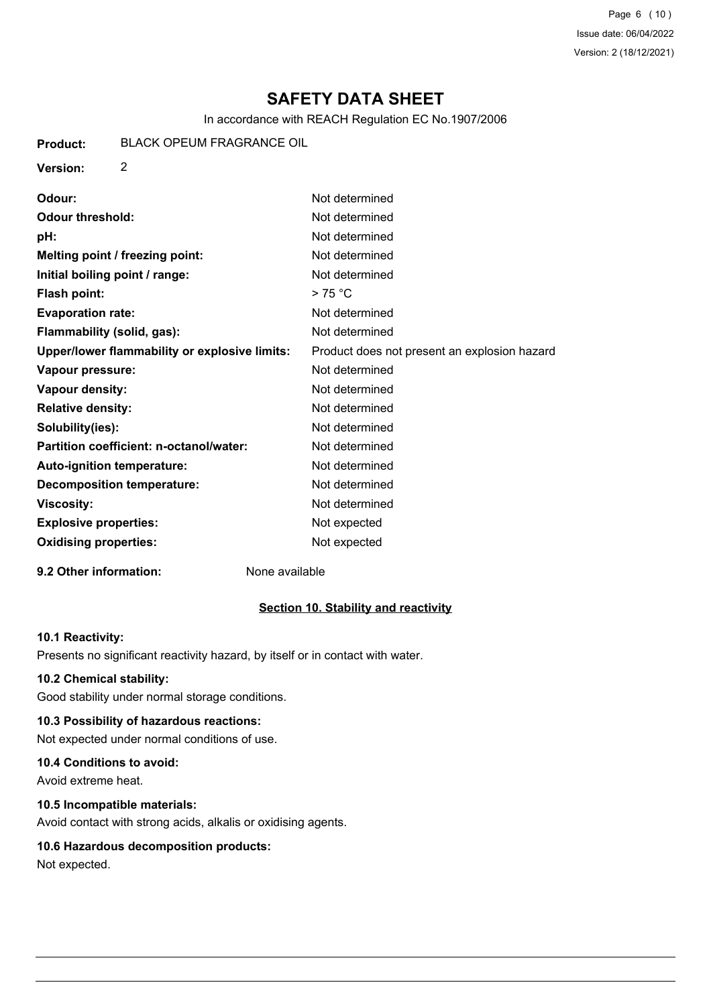Page 6 (10) Issue date: 06/04/2022 Version: 2 (18/12/2021)

# **SAFETY DATA SHEET**

In accordance with REACH Regulation EC No.1907/2006

| Product: | <b>BLACK OPEUM FRAGRANCE OIL</b> |
|----------|----------------------------------|
|          |                                  |

**Version:** 2

| Not determined                               |
|----------------------------------------------|
| Not determined                               |
| Not determined                               |
| Not determined                               |
| Not determined                               |
| >75 °C                                       |
| Not determined                               |
| Not determined                               |
| Product does not present an explosion hazard |
| Not determined                               |
| Not determined                               |
| Not determined                               |
| Not determined                               |
| Not determined                               |
| Not determined                               |
| Not determined                               |
| Not determined                               |
| Not expected                                 |
| Not expected                                 |
|                                              |

#### **9.2 Other information:** None available

#### **Section 10. Stability and reactivity**

#### **10.1 Reactivity:**

Presents no significant reactivity hazard, by itself or in contact with water.

### **10.2 Chemical stability:**

Good stability under normal storage conditions.

## **10.3 Possibility of hazardous reactions:**

Not expected under normal conditions of use.

## **10.4 Conditions to avoid:**

Avoid extreme heat.

## **10.5 Incompatible materials:**

Avoid contact with strong acids, alkalis or oxidising agents.

# **10.6 Hazardous decomposition products:**

Not expected.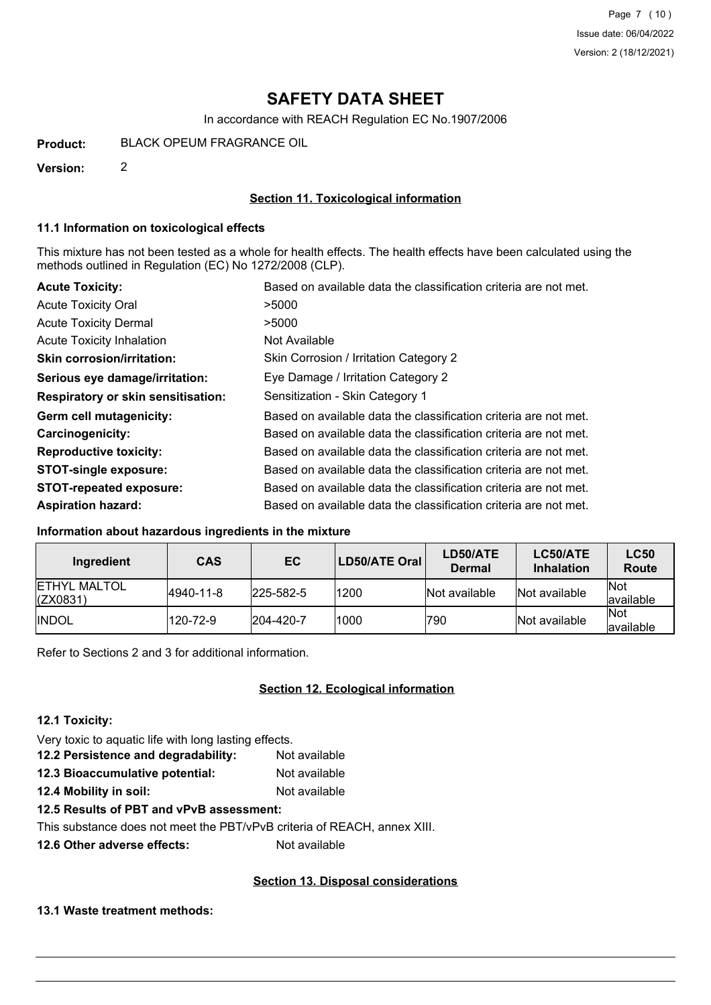# **SAFETY DATA SHEET**

In accordance with REACH Regulation EC No.1907/2006

**Product:** BLACK OPEUM FRAGRANCE OIL

**Version:** 2

#### **Section 11. Toxicological information**

#### **11.1 Information on toxicological effects**

This mixture has not been tested as a whole for health effects. The health effects have been calculated using the methods outlined in Regulation (EC) No 1272/2008 (CLP).

| <b>Acute Toxicity:</b>                    | Based on available data the classification criteria are not met. |
|-------------------------------------------|------------------------------------------------------------------|
| <b>Acute Toxicity Oral</b>                | >5000                                                            |
| <b>Acute Toxicity Dermal</b>              | >5000                                                            |
| Acute Toxicity Inhalation                 | Not Available                                                    |
| <b>Skin corrosion/irritation:</b>         | Skin Corrosion / Irritation Category 2                           |
| Serious eye damage/irritation:            | Eye Damage / Irritation Category 2                               |
| <b>Respiratory or skin sensitisation:</b> | Sensitization - Skin Category 1                                  |
| Germ cell mutagenicity:                   | Based on available data the classification criteria are not met. |
| <b>Carcinogenicity:</b>                   | Based on available data the classification criteria are not met. |
| <b>Reproductive toxicity:</b>             | Based on available data the classification criteria are not met. |
| <b>STOT-single exposure:</b>              | Based on available data the classification criteria are not met. |
| <b>STOT-repeated exposure:</b>            | Based on available data the classification criteria are not met. |
| <b>Aspiration hazard:</b>                 | Based on available data the classification criteria are not met. |

#### **Information about hazardous ingredients in the mixture**

| Ingredient                               | <b>CAS</b> | EC.               | LD50/ATE Oral | LD50/ATE<br><b>Dermal</b> | LC50/ATE<br><b>Inhalation</b> | <b>LC50</b><br>Route      |
|------------------------------------------|------------|-------------------|---------------|---------------------------|-------------------------------|---------------------------|
| <b>IETHYL MALTOL</b><br>$\vert$ (ZX0831) | 4940-11-8  | $ 225 - 582 - 5 $ | 1200          | Not available             | Not available                 | <b>INot</b><br>lavailable |
| <b>IINDOL</b>                            | 120-72-9   | 204-420-7         | 1000          | 790                       | Not available                 | <b>INot</b><br>lavailable |

Refer to Sections 2 and 3 for additional information.

## **Section 12. Ecological information**

#### **12.1 Toxicity:**

Very toxic to aquatic life with long lasting effects.

- **12.2 Persistence and degradability:** Not available **12.3 Bioaccumulative potential:** Not available
- **12.4 Mobility in soil:** Not available

#### **12.5 Results of PBT and vPvB assessment:**

This substance does not meet the PBT/vPvB criteria of REACH, annex XIII.

**12.6 Other adverse effects:** Not available

#### **Section 13. Disposal considerations**

#### **13.1 Waste treatment methods:**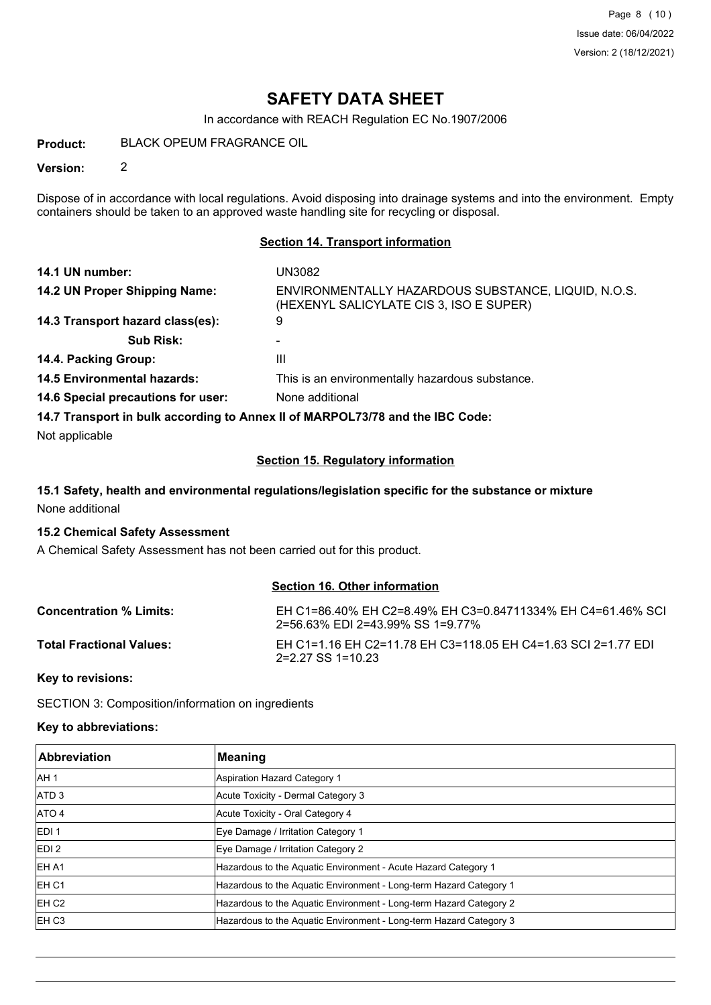# **SAFETY DATA SHEET**

In accordance with REACH Regulation EC No.1907/2006

**Product:** BLACK OPEUM FRAGRANCE OIL

**Version:** 2

Dispose of in accordance with local regulations. Avoid disposing into drainage systems and into the environment. Empty containers should be taken to an approved waste handling site for recycling or disposal.

#### **Section 14. Transport information**

| 14.1 UN number:                                                               | UN3082                                                                                         |
|-------------------------------------------------------------------------------|------------------------------------------------------------------------------------------------|
| 14.2 UN Proper Shipping Name:                                                 | ENVIRONMENTALLY HAZARDOUS SUBSTANCE, LIQUID, N.O.S.<br>(HEXENYL SALICYLATE CIS 3, ISO E SUPER) |
| 14.3 Transport hazard class(es):                                              | 9                                                                                              |
| <b>Sub Risk:</b>                                                              |                                                                                                |
| 14.4. Packing Group:                                                          | Ш                                                                                              |
| <b>14.5 Environmental hazards:</b>                                            | This is an environmentally hazardous substance.                                                |
| 14.6 Special precautions for user:                                            | None additional                                                                                |
| 14.7 Transport in bulk according to Annex II of MARPOL73/78 and the IBC Code: |                                                                                                |

Not applicable

#### **Section 15. Regulatory information**

### **15.1 Safety, health and environmental regulations/legislation specific for the substance or mixture** None additional

#### **15.2 Chemical Safety Assessment**

A Chemical Safety Assessment has not been carried out for this product.

#### **Section 16. Other information**

| <b>Concentration % Limits:</b>  | EH C1=86.40% EH C2=8.49% EH C3=0.84711334% EH C4=61.46% SCI<br>2=56.63% EDI 2=43.99% SS 1=9.77% |
|---------------------------------|-------------------------------------------------------------------------------------------------|
| <b>Total Fractional Values:</b> | EH C1=1.16 EH C2=11.78 EH C3=118.05 EH C4=1.63 SCI 2=1.77 EDI<br>2=2.27 SS 1=10.23              |

**Key to revisions:**

SECTION 3: Composition/information on ingredients

#### **Key to abbreviations:**

| <b>Abbreviation</b> | <b>Meaning</b>                                                     |
|---------------------|--------------------------------------------------------------------|
| IAH 1               | Aspiration Hazard Category 1                                       |
| ATD <sub>3</sub>    | Acute Toxicity - Dermal Category 3                                 |
| ATO 4               | Acute Toxicity - Oral Category 4                                   |
| IEDI 1              | Eye Damage / Irritation Category 1                                 |
| EDI <sub>2</sub>    | Eye Damage / Irritation Category 2                                 |
| IEH A1              | Hazardous to the Aquatic Environment - Acute Hazard Category 1     |
| IEH C1              | Hazardous to the Aquatic Environment - Long-term Hazard Category 1 |
| IEH C2              | Hazardous to the Aquatic Environment - Long-term Hazard Category 2 |
| <b>EH C3</b>        | Hazardous to the Aquatic Environment - Long-term Hazard Category 3 |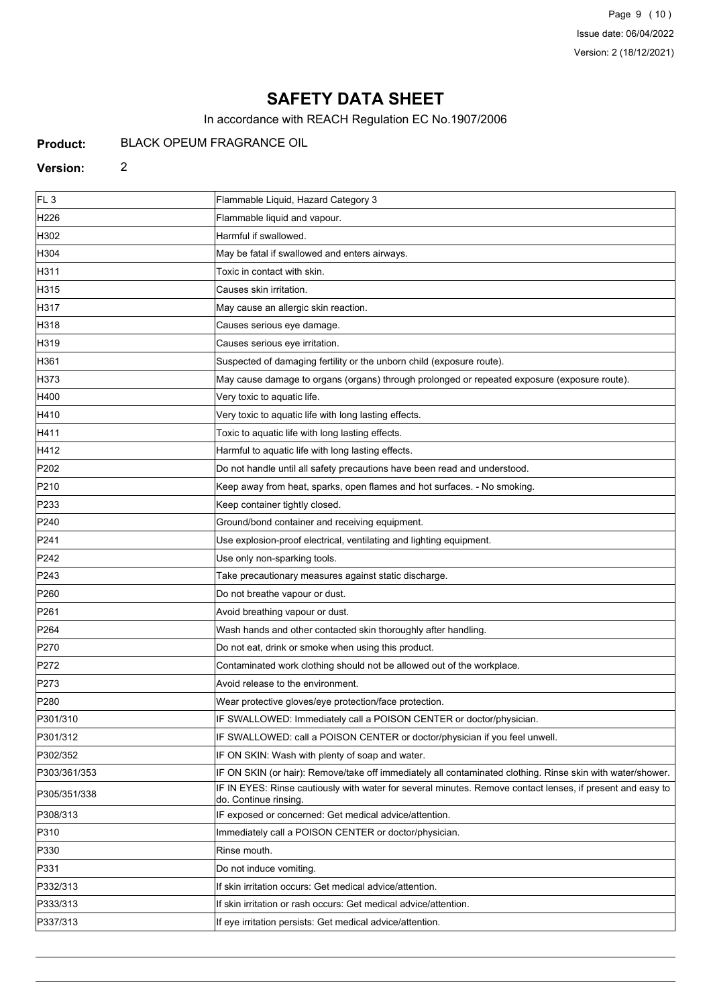Page 9 (10) Issue date: 06/04/2022 Version: 2 (18/12/2021)

# **SAFETY DATA SHEET**

In accordance with REACH Regulation EC No.1907/2006

#### **Product:** BLACK OPEUM FRAGRANCE OIL

### **Version:** 2

| FL <sub>3</sub>  | Flammable Liquid, Hazard Category 3                                                                                                |
|------------------|------------------------------------------------------------------------------------------------------------------------------------|
| H226             | Flammable liquid and vapour.                                                                                                       |
| H302             | Harmful if swallowed.                                                                                                              |
| H304             | May be fatal if swallowed and enters airways.                                                                                      |
| H311             | Toxic in contact with skin.                                                                                                        |
| H315             | Causes skin irritation.                                                                                                            |
| H317             | May cause an allergic skin reaction.                                                                                               |
| H318             | Causes serious eye damage.                                                                                                         |
| H319             | Causes serious eye irritation.                                                                                                     |
| H361             | Suspected of damaging fertility or the unborn child (exposure route).                                                              |
| H373             | May cause damage to organs (organs) through prolonged or repeated exposure (exposure route).                                       |
| H400             | Very toxic to aquatic life.                                                                                                        |
| H410             | Very toxic to aquatic life with long lasting effects.                                                                              |
| H411             | Toxic to aquatic life with long lasting effects.                                                                                   |
| H412             | Harmful to aquatic life with long lasting effects.                                                                                 |
| P202             | Do not handle until all safety precautions have been read and understood.                                                          |
| P210             | Keep away from heat, sparks, open flames and hot surfaces. - No smoking.                                                           |
| P233             | Keep container tightly closed.                                                                                                     |
| P240             | Ground/bond container and receiving equipment.                                                                                     |
| P241             | Use explosion-proof electrical, ventilating and lighting equipment.                                                                |
| P242             | Use only non-sparking tools.                                                                                                       |
| P243             | Take precautionary measures against static discharge.                                                                              |
| P <sub>260</sub> | Do not breathe vapour or dust.                                                                                                     |
| P261             | Avoid breathing vapour or dust.                                                                                                    |
| P <sub>264</sub> | Wash hands and other contacted skin thoroughly after handling.                                                                     |
| P270             | Do not eat, drink or smoke when using this product.                                                                                |
| P272             | Contaminated work clothing should not be allowed out of the workplace.                                                             |
| P273             | Avoid release to the environment.                                                                                                  |
| P <sub>280</sub> | Wear protective gloves/eye protection/face protection.                                                                             |
| P301/310         | IF SWALLOWED: Immediately call a POISON CENTER or doctor/physician.                                                                |
| P301/312         | IF SWALLOWED: call a POISON CENTER or doctor/physician if you feel unwell.                                                         |
| P302/352         | IF ON SKIN: Wash with plenty of soap and water.                                                                                    |
| P303/361/353     | IF ON SKIN (or hair): Remove/take off immediately all contaminated clothing. Rinse skin with water/shower.                         |
| P305/351/338     | IF IN EYES: Rinse cautiously with water for several minutes. Remove contact lenses, if present and easy to<br>do. Continue rinsing |
| P308/313         | IF exposed or concerned: Get medical advice/attention.                                                                             |
| P310             | Immediately call a POISON CENTER or doctor/physician.                                                                              |
| P330             | Rinse mouth.                                                                                                                       |
| P331             | Do not induce vomiting.                                                                                                            |
| P332/313         | If skin irritation occurs: Get medical advice/attention.                                                                           |
| P333/313         | If skin irritation or rash occurs: Get medical advice/attention.                                                                   |
| P337/313         | If eye irritation persists: Get medical advice/attention.                                                                          |
|                  |                                                                                                                                    |